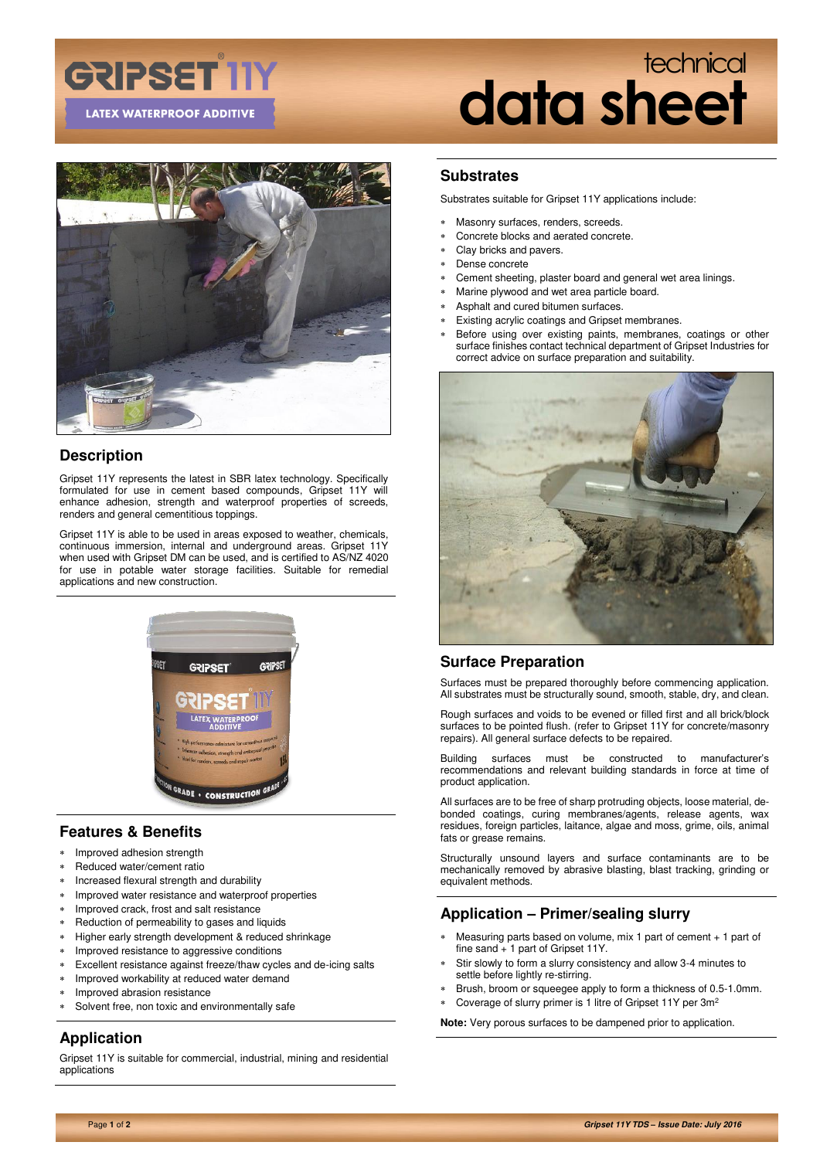### **GRIPSET IIY LATEX WATERPROOF ADDITIVE**

### technical **data sheet**



### **Description**

Gripset 11Y represents the latest in SBR latex technology. Specifically formulated for use in cement based compounds, Gripset 11Y will enhance adhesion, strength and waterproof properties of screeds, renders and general cementitious toppings.

Gripset 11Y is able to be used in areas exposed to weather, chemicals, continuous immersion, internal and underground areas. Gripset 11Y when used with Gripset DM can be used, and is certified to AS/NZ 4020 for use in potable water storage facilities. Suitable for remedial applications and new construction.



### **Features & Benefits**

- \* Improved adhesion strength
- Reduced water/cement ratio
- Increased flexural strength and durability
- Improved water resistance and waterproof properties
- Improved crack, frost and salt resistance
- Reduction of permeability to gases and liquids
- Higher early strength development & reduced shrinkage
- Improved resistance to aggressive conditions
- Excellent resistance against freeze/thaw cycles and de-icing salts
- Improved workability at reduced water demand
- Improved abrasion resistance
- Solvent free, non toxic and environmentally safe

#### **Application**

Gripset 11Y is suitable for commercial, industrial, mining and residential applications

#### **Substrates**

Substrates suitable for Gripset 11Y applications include:

- Masonry surfaces, renders, screeds.
- Concrete blocks and aerated concrete.
- Clay bricks and pavers.
- Dense concrete
- Cement sheeting, plaster board and general wet area linings.
- Marine plywood and wet area particle board.
- Asphalt and cured bitumen surfaces.
- Existing acrylic coatings and Gripset membranes.
- Before using over existing paints, membranes, coatings or other surface finishes contact technical department of Gripset Industries for correct advice on surface preparation and suitability.



#### **Surface Preparation**

Surfaces must be prepared thoroughly before commencing application. All substrates must be structurally sound, smooth, stable, dry, and clean.

Rough surfaces and voids to be evened or filled first and all brick/block surfaces to be pointed flush. (refer to Gripset 11Y for concrete/masonry repairs). All general surface defects to be repaired.

Building surfaces must be constructed to manufacturer's recommendations and relevant building standards in force at time of product application.

All surfaces are to be free of sharp protruding objects, loose material, debonded coatings, curing membranes/agents, release agents, wax residues, foreign particles, laitance, algae and moss, grime, oils, animal fats or grease remains.

Structurally unsound layers and surface contaminants are to be mechanically removed by abrasive blasting, blast tracking, grinding or equivalent methods.

#### **Application – Primer/sealing slurry**

- Measuring parts based on volume, mix 1 part of cement + 1 part of fine sand + 1 part of Gripset 11Y.
- Stir slowly to form a slurry consistency and allow 3-4 minutes to settle before lightly re-stirring.
- Brush, broom or squeegee apply to form a thickness of 0.5-1.0mm.
- Coverage of slurry primer is 1 litre of Gripset 11Y per 3m<sup>2</sup>

**Note:** Very porous surfaces to be dampened prior to application.